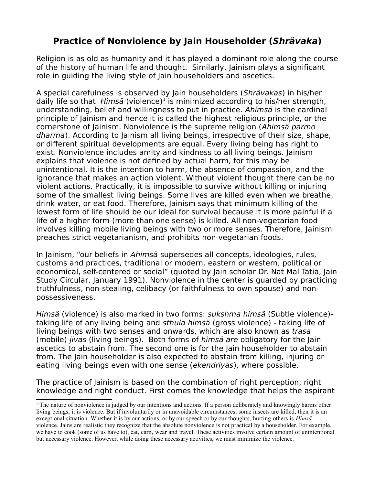# **Practice of Nonviolence by Jain Householder (Shrävaka)**

Religion is as old as humanity and it has played a dominant role along the course of the history of human life and thought. Similarly, Jainism plays a significant role in guiding the living style of Jain householders and ascetics.

A special carefulness is observed by Jain householders (Shrävakas) in his/her daily life so that  $Hims\ddot{a}$  (violence)<sup>[1](#page-0-0)</sup> is minimized according to his/her strength, understanding, belief and willingness to put in practice. Ahimsä is the cardinal principle of Jainism and hence it is called the highest religious principle, or the cornerstone of Jainism. Nonviolence is the supreme religion (Ahimsä parmo dharma). According to Jainism all living beings, irrespective of their size, shape, or different spiritual developments are equal. Every living being has right to exist. Nonviolence includes amity and kindness to all living beings. Jainism explains that violence is not defined by actual harm, for this may be unintentional. It is the intention to harm, the absence of compassion, and the ignorance that makes an action violent. Without violent thought there can be no violent actions. Practically, it is impossible to survive without killing or injuring some of the smallest living beings. Some lives are killed even when we breathe, drink water, or eat food. Therefore, Jainism says that minimum killing of the lowest form of life should be our ideal for survival because it is more painful if a life of a higher form (more than one sense) is killed. All non-vegetarian food involves killing mobile living beings with two or more senses. Therefore, Jainism preaches strict vegetarianism, and prohibits non-vegetarian foods.

In Jainism, "our beliefs in Ahimsä supersedes all concepts, ideologies, rules, customs and practices, traditional or modern, eastern or western, political or economical, self-centered or social" (quoted by Jain scholar Dr. Nat Mal Tatia, Jain Study Circular, January 1991). Nonviolence in the center is guarded by practicing truthfulness, non-stealing, celibacy (or faithfulness to own spouse) and nonpossessiveness.

Himsä (violence) is also marked in two forms: sukshma himsä (Subtle violence) taking life of any living being and sthula himsä (gross violence) - taking life of living beings with two senses and onwards, which are also known as trasa (mobile) jivas (living beings). Both forms of himsä are obligatory for the Jain ascetics to abstain from. The second one is for the Jain householder to abstain from. The Jain householder is also expected to abstain from killing, injuring or eating living beings even with one sense (ekendriyas), where possible.

The practice of Jainism is based on the combination of right perception, right knowledge and right conduct. First comes the knowledge that helps the aspirant

<span id="page-0-0"></span><sup>&</sup>lt;sup>1</sup> The nature of nonviolence is judged by our intentions and actions. If a person deliberately and knowingly harms other living beings, it is violence. But if involuntarily or in unavoidable circumstances, some insects are killed, then it is an exceptional situation. Whether it is by our actions, or by our speech or by our thoughts, hurting others is *Himsä* violence. Jains are realistic they recognize that the absolute nonviolence is not practical by a householder. For example, we have to cook (some of us have to), eat, earn, wear and travel. These activities involve certain amount of unintentional but necessary violence. However, while doing these necessary activities, we must minimize the violence.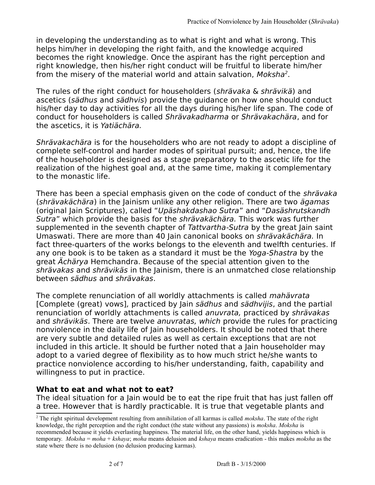in developing the understanding as to what is right and what is wrong. This helps him/her in developing the right faith, and the knowledge acquired becomes the right knowledge. Once the aspirant has the right perception and right knowledge, then his/her right conduct will be fruitful to liberate him/her from the misery of the material world and attain salvation, Moksha<sup>[2](#page-1-0)</sup>.

The rules of the right conduct for householders (shrävaka & shrävikä) and ascetics (sädhus and sädhvis) provide the guidance on how one should conduct his/her day to day activities for all the days during his/her life span. The code of conduct for householders is called Shrävakadharma or Shrävakachära, and for the ascetics, it is Yatiächära.

Shrävakachära is for the householders who are not ready to adopt a discipline of complete self-control and harder modes of spiritual pursuit; and, hence, the life of the householder is designed as a stage preparatory to the ascetic life for the realization of the highest goal and, at the same time, making it complementary to the monastic life.

There has been a special emphasis given on the code of conduct of the shrävaka (shrävakächära) in the Jainism unlike any other religion. There are two ägamas (original Jain Scriptures), called "Upäshakdashao Sutra" and "Dasäshrutskandh Sutra" which provide the basis for the shrävakächära. This work was further supplemented in the seventh chapter of Tattvartha-Sutra by the great Jain saint Umaswati. There are more than 40 Jain canonical books on shrävakächära. In fact three-quarters of the works belongs to the eleventh and twelfth centuries. If any one book is to be taken as a standard it must be the Yoga-Shastra by the great Ächärya Hemchandra. Because of the special attention given to the shrävakas and shrävikäs in the Jainism, there is an unmatched close relationship between sädhus and shrävakas.

The complete renunciation of all worldly attachments is called mahävrata [Complete (great) vows], practiced by Jain sädhus and sädhvijis, and the partial renunciation of worldly attachments is called anuvrata, practiced by shrävakas and shrävikäs. There are twelve anuvratas, which provide the rules for practicing nonviolence in the daily life of Jain householders. It should be noted that there are very subtle and detailed rules as well as certain exceptions that are not included in this article. It should be further noted that a Jain householder may adopt to a varied degree of flexibility as to how much strict he/she wants to practice nonviolence according to his/her understanding, faith, capability and willingness to put in practice.

## **What to eat and what not to eat?**

The ideal situation for a Jain would be to eat the ripe fruit that has just fallen off a tree. However that is hardly practicable. It is true that vegetable plants and

<span id="page-1-0"></span><sup>2</sup> The right spiritual development resulting from annihilation of all karmas is called *moksha*. The state of the right knowledge, the right perception and the right conduct (the state without any passions) is *moksha*. *Moksha* is recommended because it yields everlasting happiness. The material life, on the other hand, yields happiness which is temporary. *Moksha* = *moha* + *kshaya*; *moha* means delusion and *kshaya* means eradication - this makes *moksha* as the state where there is no delusion (no delusion producing karmas).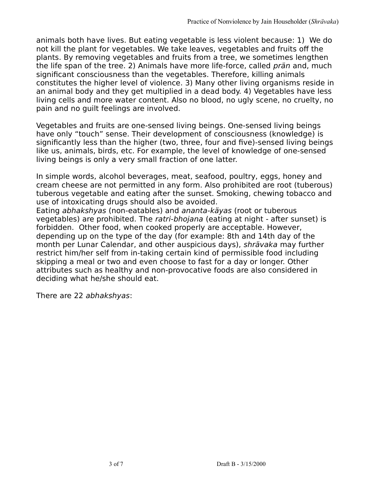animals both have lives. But eating vegetable is less violent because: 1) We do not kill the plant for vegetables. We take leaves, vegetables and fruits off the plants. By removing vegetables and fruits from a tree, we sometimes lengthen the life span of the tree. 2) Animals have more life-force, called *prän* and, much significant consciousness than the vegetables. Therefore, killing animals constitutes the higher level of violence. 3) Many other living organisms reside in an animal body and they get multiplied in a dead body. 4) Vegetables have less living cells and more water content. Also no blood, no ugly scene, no cruelty, no pain and no guilt feelings are involved.

Vegetables and fruits are one-sensed living beings. One-sensed living beings have only "touch" sense. Their development of consciousness (knowledge) is significantly less than the higher (two, three, four and five)-sensed living beings like us, animals, birds, etc. For example, the level of knowledge of one-sensed living beings is only a very small fraction of one latter.

In simple words, alcohol beverages, meat, seafood, poultry, eggs, honey and cream cheese are not permitted in any form. Also prohibited are root (tuberous) tuberous vegetable and eating after the sunset. Smoking, chewing tobacco and use of intoxicating drugs should also be avoided.

Eating abhakshyas (non-eatables) and ananta-käyas (root or tuberous vegetables) are prohibited. The ratri-bhojana (eating at night - after sunset) is forbidden. Other food, when cooked properly are acceptable. However, depending up on the type of the day (for example: 8th and 14th day of the month per Lunar Calendar, and other auspicious days), shrävaka may further restrict him/her self from in-taking certain kind of permissible food including skipping a meal or two and even choose to fast for a day or longer. Other attributes such as healthy and non-provocative foods are also considered in deciding what he/she should eat.

There are 22 abhakshyas: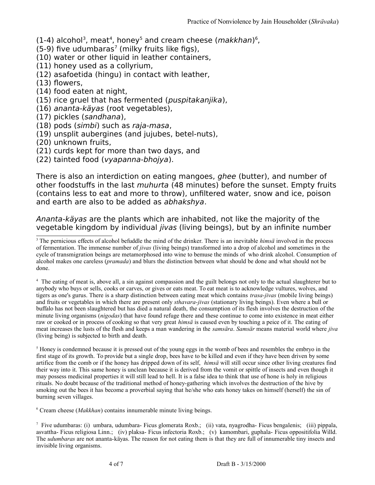$(1-4)$  $(1-4)$  $(1-4)$  alcohol<sup>[3](#page-3-0)</sup>, meat<sup>4</sup>, honey<sup>[5](#page-3-2)</sup> and cream cheese (*makkhan*)<sup>[6](#page-3-3)</sup>,

 $(5-9)$  five udumbaras<sup>[7](#page-3-4)</sup> (milky fruits like figs),

(10) water or other liquid in leather containers,

(11) honey used as a collyrium,

(12) asafoetida (hingu) in contact with leather,

(13) flowers,

(14) food eaten at night,

(15) rice gruel that has fermented (puspitakanjika),

(16) ananta-käyas (root vegetables),

(17) pickles (sandhana),

(18) pods (simbi) such as raja-masa,

(19) unsplit aubergines (and jujubes, betel-nuts),

(20) unknown fruits,

(21) curds kept for more than two days, and

(22) tainted food (vyapanna-bhojya).

There is also an interdiction on eating mangoes, *ghee* (butter), and number of other foodstuffs in the last muhurta (48 minutes) before the sunset. Empty fruits (contains less to eat and more to throw), unfiltered water, snow and ice, poison and earth are also to be added as abhakshya.

Ananta-käyas are the plants which are inhabited, not like the majority of the vegetable kingdom by individual jivas (living beings), but by an infinite number

<span id="page-3-1"></span><sup>4</sup> The eating of meat is, above all, a sin against compassion and the guilt belongs not only to the actual slaughterer but to anybody who buys or sells, cooks or carves, or gives or eats meat. To eat meat is to acknowledge vultures, wolves, and tigers as one's gurus. There is a sharp distinction between eating meat which contains *trasa-jivas* (mobile living beings) and fruits or vegetables in which there are present only *sthavara-jivas* (stationary living beings). Even where a bull or buffalo has not been slaughtered but has died a natural death, the consumption of its flesh involves the destruction of the minute living organisms (*nigodas*) that have found refuge there and these continue to come into existence in meat either raw or cooked or in process of cooking so that very great *himsä* is caused even by touching a peice of it. The eating of meat increases the lusts of the flesh and keeps a man wandering in the *samsära*. *Samsär* means material world where *jiva* (living being) is subjected to birth and death.

<span id="page-3-2"></span><sup>5</sup> Honey is condemned because it is pressed out of the young eggs in the womb of bees and resembles the embryo in the first stage of its growth. To provide but a single drop, bees have to be killed and even if they have been driven by some artifice from the comb or if the honey has dripped down of its self, *himsä* will still occur since other living creatures find their way into it. This same honey is unclean because it is derived from the vomit or spittle of insects and even though it may possess medicinal properties it will still lead to hell. It is a false idea to think that use of hone is holy in religious rituals. No doubt because of the traditional method of honey-gathering which involves the destruction of the hive by smoking out the bees it has become a proverbial saying that he/she who eats honey takes on himself (herself) the sin of burning seven villages.

<span id="page-3-3"></span>6 Cream cheese (*Makkhan*) contains innumerable minute living beings.

<span id="page-3-0"></span><sup>3</sup> The pernicious effects of alcohol befuddle the mind of the drinker. There is an inevitable *himsä* involved in the process of fermentation. The immense number of *jivas* (living beings) transformed into a drop of alcohol and sometimes in the cycle of transmigration beings are metamorphosed into wine to bemuse the minds of who drink alcohol. Consumption of alcohol makes one careless (*pramada*) and blurs the distinction between what should be done and what should not be done.

<span id="page-3-4"></span><sup>7</sup> Five udumbaras: (i) umbara, udumbara- Ficus glomerata Roxb.;(ii) vata, nyagrodha- Ficus bengalenis;(iii) pippala, asvattha- Ficus religiosa Linn.;(iv) plaksa- Ficus infectoria Roxb.;(v) kamombari, guphala- Ficus oppositifolia Willd. The *udumbaras* are not ananta-käyas. The reason for not eating them is that they are full of innumerable tiny insects and invisible living organisms.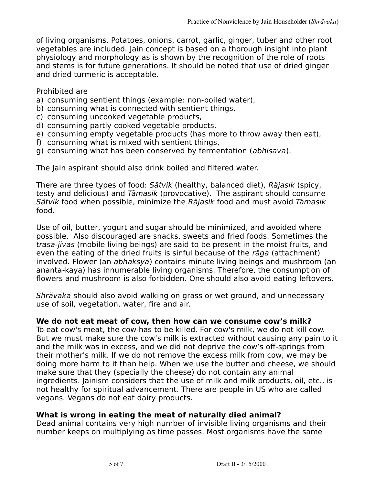of living organisms. Potatoes, onions, carrot, garlic, ginger, tuber and other root vegetables are included. Jain concept is based on a thorough insight into plant physiology and morphology as is shown by the recognition of the role of roots and stems is for future generations. It should be noted that use of dried ginger and dried turmeric is acceptable.

#### Prohibited are

- a) consuming sentient things (example: non-boiled water),
- b) consuming what is connected with sentient things,
- c) consuming uncooked vegetable products,
- d) consuming partly cooked vegetable products,
- e) consuming empty vegetable products (has more to throw away then eat),
- f) consuming what is mixed with sentient things,
- g) consuming what has been conserved by fermentation (abhisava).

The Jain aspirant should also drink boiled and filtered water.

There are three types of food: Sätvik (healthy, balanced diet), Räjasik (spicy, testy and delicious) and Tämasik (provocative). The aspirant should consume Sätvik food when possible, minimize the Räjasik food and must avoid Tämasik food.

Use of oil, butter, yogurt and sugar should be minimized, and avoided where possible. Also discouraged are snacks, sweets and fried foods. Sometimes the trasa-jivas (mobile living beings) are said to be present in the moist fruits, and even the eating of the dried fruits is sinful because of the *räga* (attachment) involved. Flower (an abhaksya) contains minute living beings and mushroom (an ananta-kaya) has innumerable living organisms. Therefore, the consumption of flowers and mushroom is also forbidden. One should also avoid eating leftovers.

Shrävaka should also avoid walking on grass or wet ground, and unnecessary use of soil, vegetation, water, fire and air.

#### **We do not eat meat of cow, then how can we consume cow's milk?**

To eat cow's meat, the cow has to be killed. For cow's milk, we do not kill cow. But we must make sure the cow's milk is extracted without causing any pain to it and the milk was in excess, and we did not deprive the cow's off-springs from their mother's milk. If we do not remove the excess milk from cow, we may be doing more harm to it than help. When we use the butter and cheese, we should make sure that they (specially the cheese) do not contain any animal ingredients. Jainism considers that the use of milk and milk products, oil, etc., is not healthy for spiritual advancement. There are people in US who are called vegans. Vegans do not eat dairy products.

## **What is wrong in eating the meat of naturally died animal?**

Dead animal contains very high number of invisible living organisms and their number keeps on multiplying as time passes. Most organisms have the same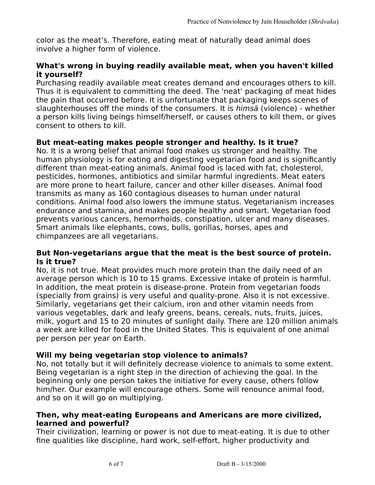color as the meat's. Therefore, eating meat of naturally dead animal does involve a higher form of violence.

## **What's wrong in buying readily available meat, when you haven't killed it yourself?**

Purchasing readily available meat creates demand and encourages others to kill. Thus it is equivalent to committing the deed. The 'neat' packaging of meat hides the pain that occurred before. It is unfortunate that packaging keeps scenes of slaughterhouses off the minds of the consumers. It is himsä (violence) - whether a person kills living beings himself/herself, or causes others to kill them, or gives consent to others to kill.

## **But meat-eating makes people stronger and healthy. Is it true?**

No. It is a wrong belief that animal food makes us stronger and healthy. The human physiology is for eating and digesting vegetarian food and is significantly different than meat-eating animals. Animal food is laced with fat, cholesterol, pesticides, hormones, antibiotics and similar harmful ingredients. Meat eaters are more prone to heart failure, cancer and other killer diseases. Animal food transmits as many as 160 contagious diseases to human under natural conditions. Animal food also lowers the immune status. Vegetarianism increases endurance and stamina, and makes people healthy and smart. Vegetarian food prevents various cancers, hemorrhoids, constipation, ulcer and many diseases. Smart animals like elephants, cows, bulls, gorillas, horses, apes and chimpanzees are all vegetarians.

#### **But Non-vegetarians argue that the meat is the best source of protein. Is it true?**

No, it is not true. Meat provides much more protein than the daily need of an average person which is 10 to 15 grams. Excessive intake of protein is harmful. In addition, the meat protein is disease-prone. Protein from vegetarian foods (specially from grains) is very useful and quality-prone. Also it is not excessive. Similarly, vegetarians get their calcium, iron and other vitamin needs from various vegetables, dark and leafy greens, beans, cereals, nuts, fruits, juices, milk, yogurt and 15 to 20 minutes of sunlight daily. There are 120 million animals a week are killed for food in the United States. This is equivalent of one animal per person per year on Earth.

## **Will my being vegetarian stop violence to animals?**

No, not totally but it will definitely decrease violence to animals to some extent. Being vegetarian is a right step in the direction of achieving the goal. In the beginning only one person takes the initiative for every cause, others follow him/her. Our example will encourage others. Some will renounce animal food, and so on it will go on multiplying.

#### **Then, why meat-eating Europeans and Americans are more civilized, learned and powerful?**

Their civilization, learning or power is not due to meat-eating. It is due to other fine qualities like discipline, hard work, self-effort, higher productivity and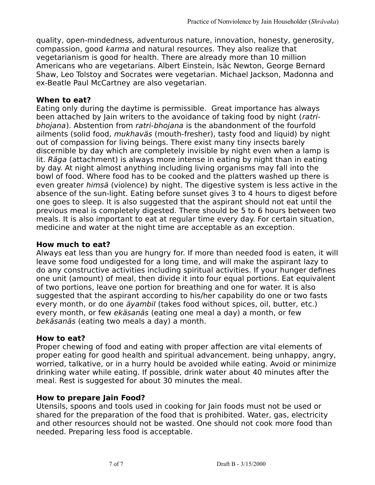quality, open-mindedness, adventurous nature, innovation, honesty, generosity, compassion, good karma and natural resources. They also realize that vegetarianism is good for health. There are already more than 10 million Americans who are vegetarians. Albert Einstein, Isäc Newton, George Bernard Shaw, Leo Tolstoy and Socrates were vegetarian. Michael Jackson, Madonna and ex-Beatle Paul McCartney are also vegetarian.

#### **When to eat?**

Eating only during the daytime is permissible. Great importance has always been attached by Jain writers to the avoidance of taking food by night (ratribhojana). Abstention from ratri-bhojana is the abandonment of the fourfold ailments (solid food, mukhaväs (mouth-fresher), tasty food and liquid) by night out of compassion for living beings. There exist many tiny insects barely discernible by day which are completely invisible by night even when a lamp is lit. Räga (attachment) is always more intense in eating by night than in eating by day. At night almost anything including living organisms may fall into the bowl of food. Where food has to be cooked and the platters washed up there is even greater himsä (violence) by night. The digestive system is less active in the absence of the sun-light. Eating before sunset gives 3 to 4 hours to digest before one goes to sleep. It is also suggested that the aspirant should not eat until the previous meal is completely digested. There should be 5 to 6 hours between two meals. It is also important to eat at regular time every day. For certain situation, medicine and water at the night time are acceptable as an exception.

## **How much to eat?**

Always eat less than you are hungry for. If more than needed food is eaten, it will leave some food undigested for a long time, and will make the aspirant lazy to do any constructive activities including spiritual activities. If your hunger defines one unit (amount) of meal, then divide it into four equal portions. Eat equivalent of two portions, leave one portion for breathing and one for water. It is also suggested that the aspirant according to his/her capability do one or two fasts every month, or do one äyambil (takes food without spices, oil, butter, etc.) every month, or few ekäsanäs (eating one meal a day) a month, or few bekäsanäs (eating two meals a day) a month.

#### **How to eat?**

Proper chewing of food and eating with proper affection are vital elements of proper eating for good health and spiritual advancement. being unhappy, angry, worried, talkative, or in a hurry hould be avoided while eating. Avoid or minimize drinking water while eating. If possible, drink water about 40 minutes after the meal. Rest is suggested for about 30 minutes the meal.

#### **How to prepare Jain Food?**

Utensils, spoons and tools used in cooking for Jain foods must not be used or shared for the preparation of the food that is prohibited. Water, gas, electricity and other resources should not be wasted. One should not cook more food than needed. Preparing less food is acceptable.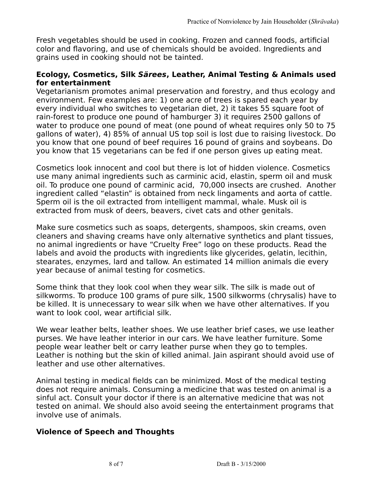Fresh vegetables should be used in cooking. Frozen and canned foods, artificial color and flavoring, and use of chemicals should be avoided. Ingredients and grains used in cooking should not be tainted.

## **Ecology, Cosmetics, Silk Särees, Leather, Animal Testing & Animals used for entertainment**

Vegetarianism promotes animal preservation and forestry, and thus ecology and environment. Few examples are: 1) one acre of trees is spared each year by every individual who switches to vegetarian diet, 2) it takes 55 square foot of rain-forest to produce one pound of hamburger 3) it requires 2500 gallons of water to produce one pound of meat (one pound of wheat requires only 50 to 75 gallons of water), 4) 85% of annual US top soil is lost due to raising livestock. Do you know that one pound of beef requires 16 pound of grains and soybeans. Do you know that 15 vegetarians can be fed if one person gives up eating meat.

Cosmetics look innocent and cool but there is lot of hidden violence. Cosmetics use many animal ingredients such as carminic acid, elastin, sperm oil and musk oil. To produce one pound of carminic acid, 70,000 insects are crushed. Another ingredient called "elastin" is obtained from neck lingaments and aorta of cattle. Sperm oil is the oil extracted from intelligent mammal, whale. Musk oil is extracted from musk of deers, beavers, civet cats and other genitals.

Make sure cosmetics such as soaps, detergents, shampoos, skin creams, oven cleaners and shaving creams have only alternative synthetics and plant tissues, no animal ingredients or have "Cruelty Free" logo on these products. Read the labels and avoid the products with ingredients like glycerides, gelatin, lecithin, stearates, enzymes, lard and tallow. An estimated 14 million animals die every year because of animal testing for cosmetics.

Some think that they look cool when they wear silk. The silk is made out of silkworms. To produce 100 grams of pure silk, 1500 silkworms (chrysalis) have to be killed. It is unnecessary to wear silk when we have other alternatives. If you want to look cool, wear artificial silk.

We wear leather belts, leather shoes. We use leather brief cases, we use leather purses. We have leather interior in our cars. We have leather furniture. Some people wear leather belt or carry leather purse when they go to temples. Leather is nothing but the skin of killed animal. Jain aspirant should avoid use of leather and use other alternatives.

Animal testing in medical fields can be minimized. Most of the medical testing does not require animals. Consuming a medicine that was tested on animal is a sinful act. Consult your doctor if there is an alternative medicine that was not tested on animal. We should also avoid seeing the entertainment programs that involve use of animals.

# **Violence of Speech and Thoughts**